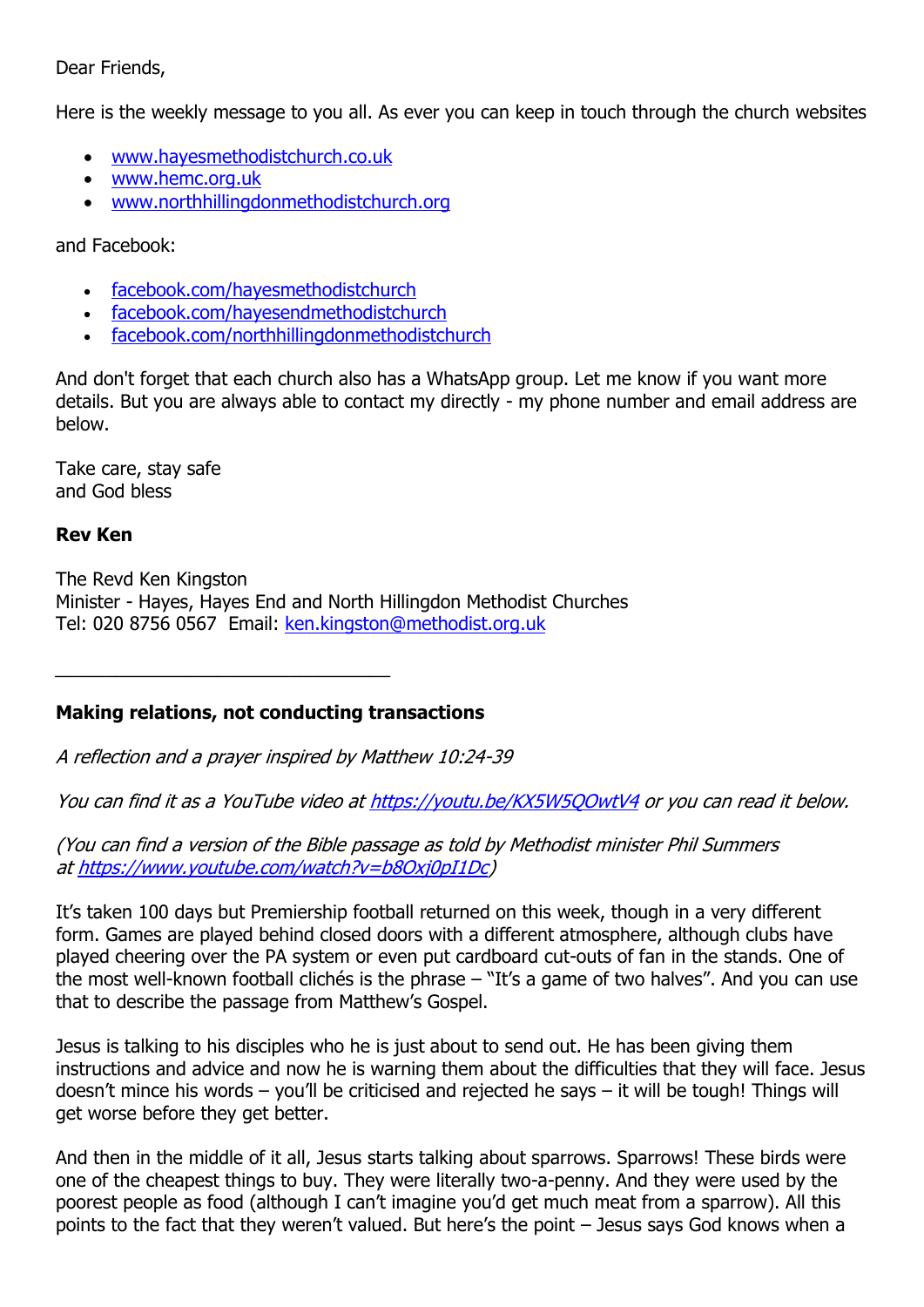### Dear Friends,

Here is the weekly message to you all. As ever you can keep in touch through the church websites

- [www.hayesmethodistchurch.co.uk](http://www.hayesmethodistchurch.co.uk/)
- [www.hemc.org.uk](http://www.hemc.org.uk/)
- [www.northhillingdonmethodistchurch.org](http://www.northhillingdonmethodistchurch.org/)

and Facebook:

- [facebook.com/hayesmethodistchurch](http://www.facebook.com/hayesmethodistchurch)
- [facebook.com/hayesendmethodistchurch](http://www.facebook.com/hayesendmethodistchurch)
- [facebook.com/northhillingdonmethodistchurch](http://www.facebook.com/northhillingdonmethodistchurch)

And don't forget that each church also has a WhatsApp group. Let me know if you want more details. But you are always able to contact my directly - my phone number and email address are below.

Take care, stay safe and God bless

## **Rev Ken**

The Revd Ken Kingston Minister - Hayes, Hayes End and North Hillingdon Methodist Churches Tel: 020 8756 0567 Email: [ken.kingston@methodist.org.uk](mailto:ken.kingston@methodist.org.uk)

## **Making relations, not conducting transactions**

A reflection and a prayer inspired by Matthew 10:24-39

You can find it as a YouTube video at <https://youtu.be/KX5W5QOwtV4> or you can read it below.

(You can find a version of the Bible passage as told by Methodist minister Phil Summers at [https://www.youtube.com/watch?v=b8Oxj0pI1Dc\)](https://www.youtube.com/watch?v=b8Oxj0pI1Dc)

It's taken 100 days but Premiership football returned on this week, though in a very different form. Games are played behind closed doors with a different atmosphere, although clubs have played cheering over the PA system or even put cardboard cut-outs of fan in the stands. One of the most well-known football clichés is the phrase – "It's a game of two halves". And you can use that to describe the passage from Matthew's Gospel.

Jesus is talking to his disciples who he is just about to send out. He has been giving them instructions and advice and now he is warning them about the difficulties that they will face. Jesus doesn't mince his words – you'll be criticised and rejected he says – it will be tough! Things will get worse before they get better.

And then in the middle of it all, Jesus starts talking about sparrows. Sparrows! These birds were one of the cheapest things to buy. They were literally two-a-penny. And they were used by the poorest people as food (although I can't imagine you'd get much meat from a sparrow). All this points to the fact that they weren't valued. But here's the point – Jesus says God knows when a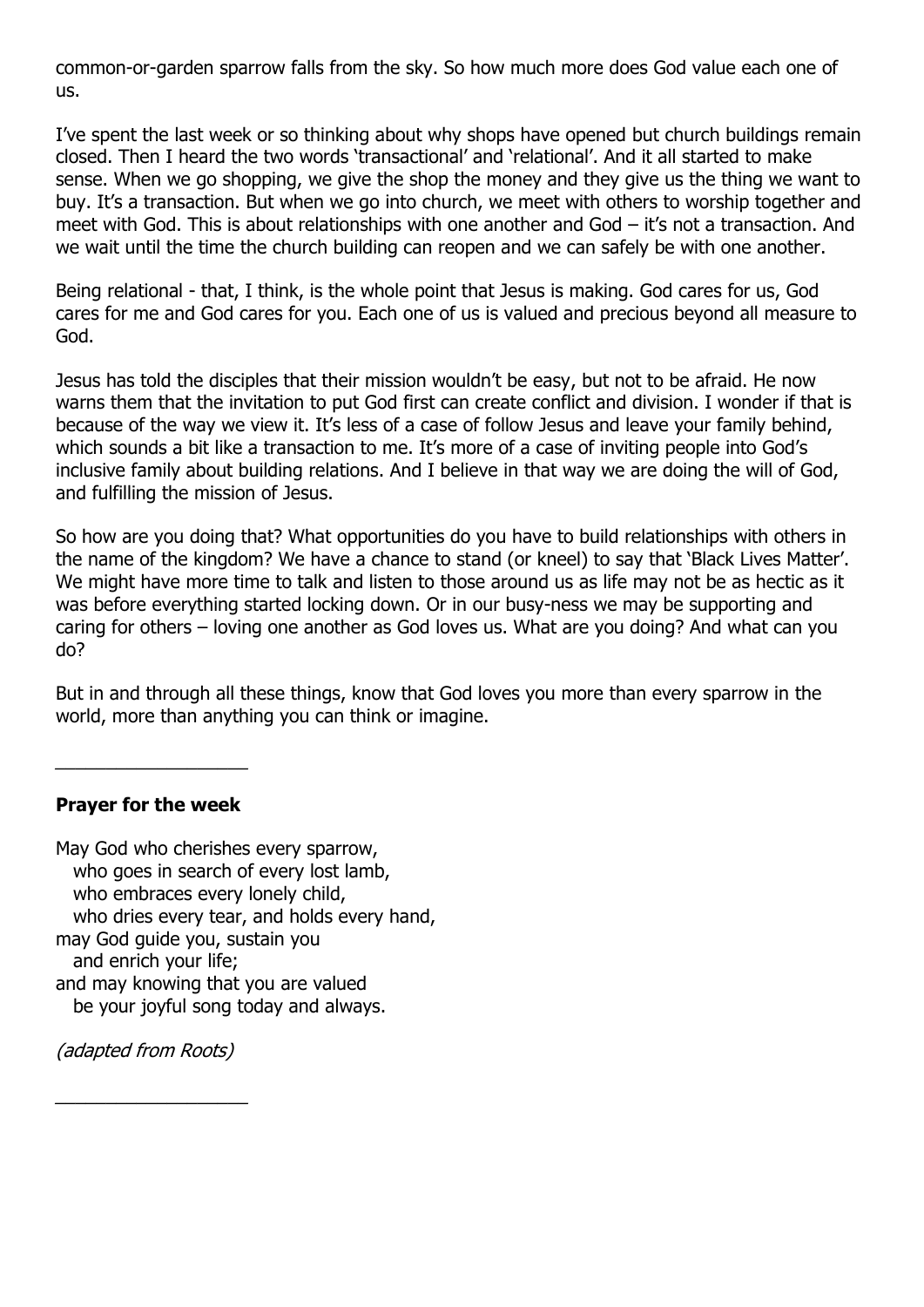common-or-garden sparrow falls from the sky. So how much more does God value each one of us.

I've spent the last week or so thinking about why shops have opened but church buildings remain closed. Then I heard the two words 'transactional' and 'relational'. And it all started to make sense. When we go shopping, we give the shop the money and they give us the thing we want to buy. It's a transaction. But when we go into church, we meet with others to worship together and meet with God. This is about relationships with one another and God – it's not a transaction. And we wait until the time the church building can reopen and we can safely be with one another.

Being relational - that, I think, is the whole point that Jesus is making. God cares for us, God cares for me and God cares for you. Each one of us is valued and precious beyond all measure to God.

Jesus has told the disciples that their mission wouldn't be easy, but not to be afraid. He now warns them that the invitation to put God first can create conflict and division. I wonder if that is because of the way we view it. It's less of a case of follow Jesus and leave your family behind, which sounds a bit like a transaction to me. It's more of a case of inviting people into God's inclusive family about building relations. And I believe in that way we are doing the will of God, and fulfilling the mission of Jesus.

So how are you doing that? What opportunities do you have to build relationships with others in the name of the kingdom? We have a chance to stand (or kneel) to say that 'Black Lives Matter'. We might have more time to talk and listen to those around us as life may not be as hectic as it was before everything started locking down. Or in our busy-ness we may be supporting and caring for others – loving one another as God loves us. What are you doing? And what can you do?

But in and through all these things, know that God loves you more than every sparrow in the world, more than anything you can think or imagine.

### **Prayer for the week**

\_\_\_\_\_\_\_\_\_\_\_\_\_\_\_\_\_\_\_

May God who cherishes every sparrow, who goes in search of every lost lamb, who embraces every lonely child, who dries every tear, and holds every hand, may God guide you, sustain you and enrich your life; and may knowing that you are valued be your joyful song today and always.

(adapted from Roots)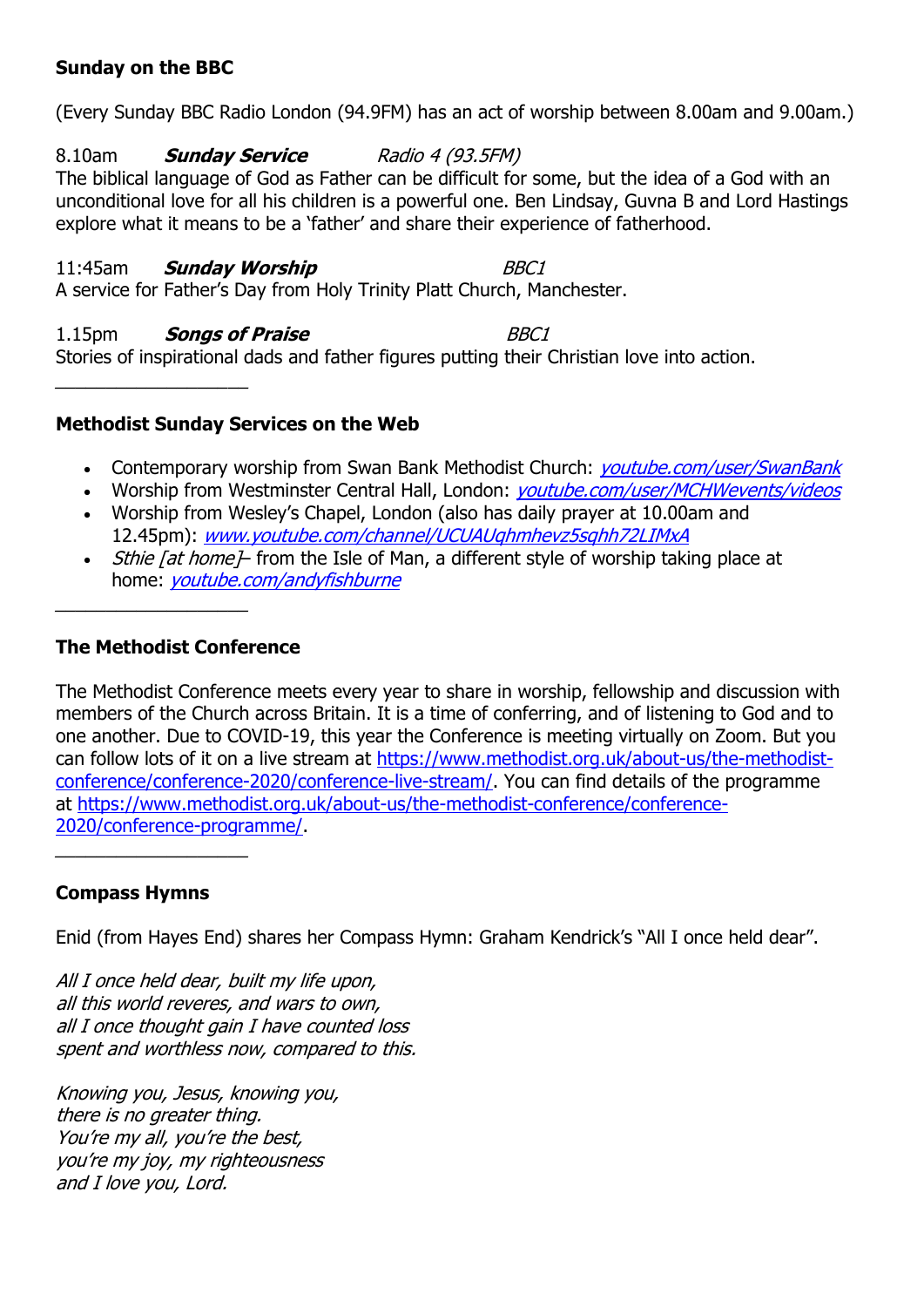### **Sunday on the BBC**

(Every Sunday BBC Radio London (94.9FM) has an act of worship between 8.00am and 9.00am.)

8.10am **Sunday Service** Radio 4 (93.5FM) The biblical language of God as Father can be difficult for some, but the idea of a God with an unconditional love for all his children is a powerful one. Ben Lindsay, Guvna B and Lord Hastings explore what it means to be a 'father' and share their experience of fatherhood.

#### 11:45am **Sunday Worship** BBC1 A service for Father's Day from Holy Trinity Platt Church, Manchester.

1.15pm **Songs of Praise** BBC1 Stories of inspirational dads and father figures putting their Christian love into action.

# **Methodist Sunday Services on the Web**

- Contemporary worship from Swan Bank Methodist Church: *[youtube.com/user/SwanBank](http://www.youtube.com/user/SwanBank)*
- Worship from Westminster Central Hall, London: *[youtube.com/user/MCHWevents/videos](http://www.youtube.com/user/MCHWevents/videos)*
- Worship from Wesley's Chapel, London (also has daily prayer at 10.00am and 12.45pm): [www.youtube.com/channel/UCUAUqhmhevz5sqhh72LIMxA](http://www.youtube.com/channel/UCUAUqhmhevz5sqhh72LIMxA)
- *Sthie [at home]* from the Isle of Man, a different style of worship taking place at home: [youtube.com/andyfishburne](http://www.youtube.com/andyfishburne)

## **The Methodist Conference**

\_\_\_\_\_\_\_\_\_\_\_\_\_\_\_\_\_\_\_

The Methodist Conference meets every year to share in worship, fellowship and discussion with members of the Church across Britain. It is a time of conferring, and of listening to God and to one another. Due to COVID-19, this year the Conference is meeting virtually on Zoom. But you can follow lots of it on a live stream at [https://www.methodist.org.uk/about-us/the-methodist](https://www.methodist.org.uk/about-us/the-methodist-conference/conference-2020/conference-live-stream/)[conference/conference-2020/conference-live-stream/.](https://www.methodist.org.uk/about-us/the-methodist-conference/conference-2020/conference-live-stream/) You can find details of the programme at [https://www.methodist.org.uk/about-us/the-methodist-conference/conference-](https://www.methodist.org.uk/about-us/the-methodist-conference/conference-2020/conference-programme/)[2020/conference-programme/.](https://www.methodist.org.uk/about-us/the-methodist-conference/conference-2020/conference-programme/)

## **Compass Hymns**

\_\_\_\_\_\_\_\_\_\_\_\_\_\_\_\_\_\_\_

Enid (from Hayes End) shares her Compass Hymn: Graham Kendrick's "All I once held dear".

All I once held dear, built my life upon, all this world reveres, and wars to own, all I once thought gain I have counted loss spent and worthless now, compared to this.

Knowing you, Jesus, knowing you, there is no greater thing. You're my all, you're the best, you're my joy, my righteousness and I love you, Lord.